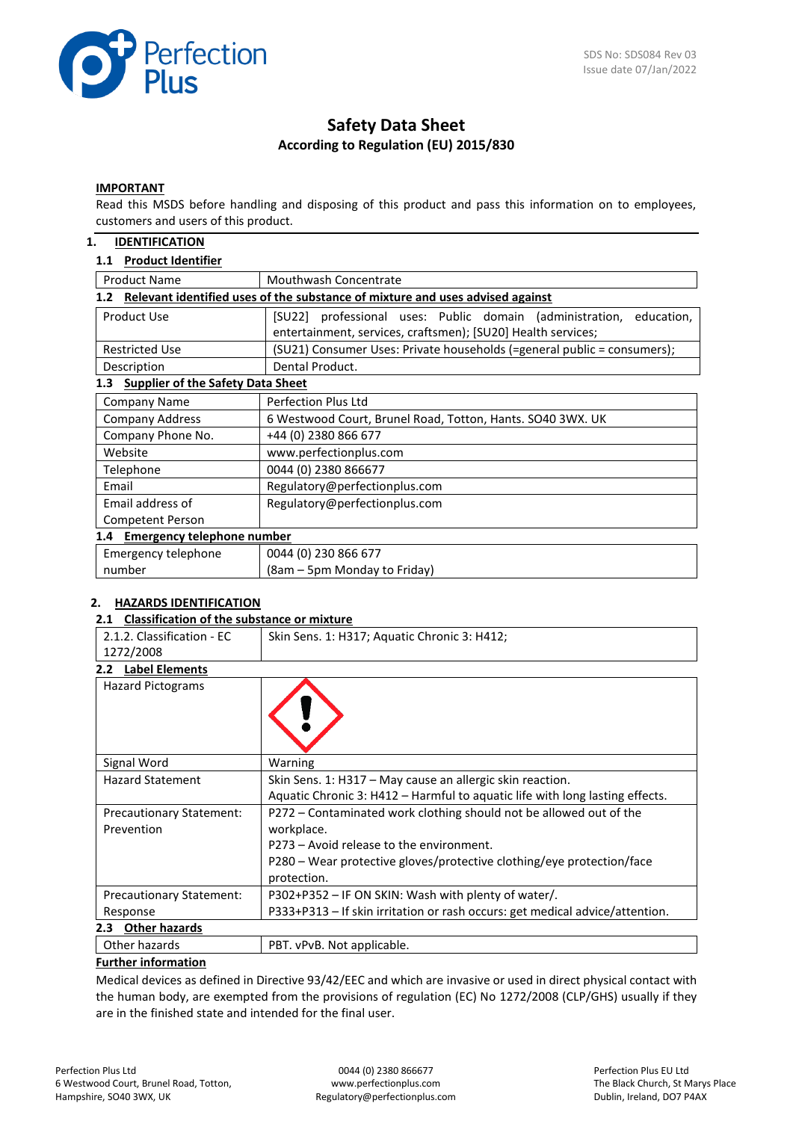

# **Safety Data Sheet According to Regulation (EU) 2015/830**

#### **IMPORTANT**

Read this MSDS before handling and disposing of this product and pass this information on to employees, customers and users of this product.

#### **1. IDENTIFICATION**

### **1.1 Product Identifier**

| <b>Product Name</b>                             | Mouthwash Concentrate                                                         |  |
|-------------------------------------------------|-------------------------------------------------------------------------------|--|
| 1.2 <sub>2</sub>                                | Relevant identified uses of the substance of mixture and uses advised against |  |
| Product Use                                     | [SU22] professional uses: Public domain (administration,<br>education,        |  |
|                                                 | entertainment, services, craftsmen); [SU20] Health services;                  |  |
| <b>Restricted Use</b>                           | (SU21) Consumer Uses: Private households (=general public = consumers);       |  |
| Description                                     | Dental Product.                                                               |  |
| <b>Supplier of the Safety Data Sheet</b><br>1.3 |                                                                               |  |
| <b>Company Name</b>                             | Perfection Plus Ltd                                                           |  |
| <b>Company Address</b>                          | 6 Westwood Court, Brunel Road, Totton, Hants. SO40 3WX. UK                    |  |
| Company Phone No.                               | +44 (0) 2380 866 677                                                          |  |
| Website                                         | www.perfectionplus.com                                                        |  |
| Telephone                                       | 0044 (0) 2380 866677                                                          |  |
| Email                                           | Regulatory@perfectionplus.com                                                 |  |
| Email address of                                | Regulatory@perfectionplus.com                                                 |  |
| Competent Person                                |                                                                               |  |
| 1.4 Emergency telephone number                  |                                                                               |  |
| Emergency telephone                             | 0044 (0) 230 866 677                                                          |  |
| number                                          | (8am – 5pm Monday to Friday)                                                  |  |

#### **2. HAZARDS IDENTIFICATION**

#### **2.1 Classification of the substance or mixture**

| 2.1.2. Classification - EC               | Skin Sens. 1: H317; Aquatic Chronic 3: H412;                                 |
|------------------------------------------|------------------------------------------------------------------------------|
| 1272/2008                                |                                                                              |
| 2.2 Label Elements                       |                                                                              |
| <b>Hazard Pictograms</b>                 |                                                                              |
| Signal Word                              | Warning                                                                      |
| <b>Hazard Statement</b>                  | Skin Sens. 1: H317 – May cause an allergic skin reaction.                    |
|                                          | Aquatic Chronic 3: H412 - Harmful to aquatic life with long lasting effects. |
| <b>Precautionary Statement:</b>          | P272 - Contaminated work clothing should not be allowed out of the           |
| Prevention                               | workplace.                                                                   |
|                                          | P273 – Avoid release to the environment.                                     |
|                                          | P280 – Wear protective gloves/protective clothing/eye protection/face        |
|                                          | protection.                                                                  |
| <b>Precautionary Statement:</b>          | P302+P352 - IF ON SKIN: Wash with plenty of water/.                          |
| Response                                 | P333+P313 - If skin irritation or rash occurs: get medical advice/attention. |
| <b>Other hazards</b><br>2.3 <sub>1</sub> |                                                                              |
| Other hazards                            | PBT. vPvB. Not applicable.                                                   |

#### **Further information**

Medical devices as defined in Directive 93/42/EEC and which are invasive or used in direct physical contact with the human body, are exempted from the provisions of regulation (EC) No 1272/2008 (CLP/GHS) usually if they are in the finished state and intended for the final user.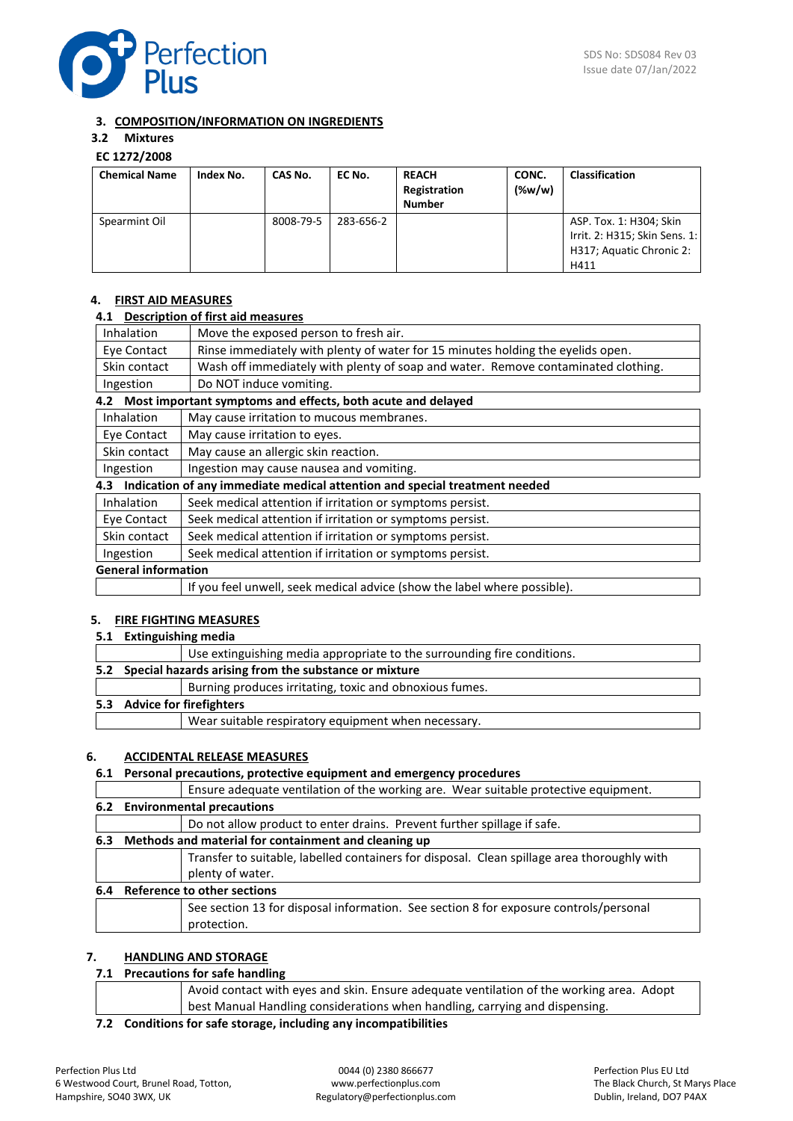

### **3. COMPOSITION/INFORMATION ON INGREDIENTS**

# **3.2 Mixtures**

## **EC 1272/2008**

| <b>Chemical Name</b> | Index No. | CAS No.   | EC No.    | <b>REACH</b><br>Registration<br><b>Number</b> | CONC.<br>$(\%w/w)$ | <b>Classification</b>                                                                        |
|----------------------|-----------|-----------|-----------|-----------------------------------------------|--------------------|----------------------------------------------------------------------------------------------|
| Spearmint Oil        |           | 8008-79-5 | 283-656-2 |                                               |                    | ASP. Tox. 1: H304; Skin<br>Irrit. 2: H315; Skin Sens. 1:<br>H317; Aquatic Chronic 2:<br>H411 |

### **4. FIRST AID MEASURES**

#### **4.1 Description of first aid measures**

| Inhalation                 | Move the exposed person to fresh air.                                             |
|----------------------------|-----------------------------------------------------------------------------------|
| Eye Contact                | Rinse immediately with plenty of water for 15 minutes holding the eyelids open.   |
| Skin contact               | Wash off immediately with plenty of soap and water. Remove contaminated clothing. |
| Ingestion                  | Do NOT induce vomiting.                                                           |
|                            | 4.2 Most important symptoms and effects, both acute and delayed                   |
| Inhalation                 | May cause irritation to mucous membranes.                                         |
| Eye Contact                | May cause irritation to eyes.                                                     |
| Skin contact               | May cause an allergic skin reaction.                                              |
| Ingestion                  | Ingestion may cause nausea and vomiting.                                          |
| 4.3                        | Indication of any immediate medical attention and special treatment needed        |
| <b>Inhalation</b>          | Seek medical attention if irritation or symptoms persist.                         |
| Eye Contact                | Seek medical attention if irritation or symptoms persist.                         |
| Skin contact               | Seek medical attention if irritation or symptoms persist.                         |
| Ingestion                  | Seek medical attention if irritation or symptoms persist.                         |
| <b>General information</b> |                                                                                   |
|                            | If you feel unwell, seek medical advice (show the label where possible).          |
|                            |                                                                                   |

#### **5. FIRE FIGHTING MEASURES**

#### **5.1 Extinguishing media**

|                             | Use extinguishing media appropriate to the surrounding fire conditions. |  |
|-----------------------------|-------------------------------------------------------------------------|--|
|                             | 5.2 Special hazards arising from the substance or mixture               |  |
|                             | Burning produces irritating, toxic and obnoxious fumes.                 |  |
| 5.3 Advice for firefighters |                                                                         |  |
|                             | Wear suitable respiratory equipment when necessary.                     |  |
|                             |                                                                         |  |

#### **6. ACCIDENTAL RELEASE MEASURES**

### **6.1 Personal precautions, protective equipment and emergency procedures**

|     | Ensure adequate ventilation of the working are. Wear suitable protective equipment.         |
|-----|---------------------------------------------------------------------------------------------|
|     | 6.2 Environmental precautions                                                               |
|     | Do not allow product to enter drains. Prevent further spillage if safe.                     |
| 6.3 | Methods and material for containment and cleaning up                                        |
|     | Transfer to suitable, labelled containers for disposal. Clean spillage area thoroughly with |
|     | plenty of water.                                                                            |
| 6.4 | Reference to other sections                                                                 |
|     | See section 13 for disposal information. See section 8 for exposure controls/personal       |
|     | protection.                                                                                 |

### **7. HANDLING AND STORAGE**

### **7.1 Precautions for safe handling**

|                                                                   | Avoid contact with eyes and skin. Ensure adequate ventilation of the working area. Adopt |  |
|-------------------------------------------------------------------|------------------------------------------------------------------------------------------|--|
|                                                                   | best Manual Handling considerations when handling, carrying and dispensing.              |  |
| 22. Conditions for safe starses, including any incompatibilities. |                                                                                          |  |

**7.2 Conditions for safe storage, including any incompatibilities**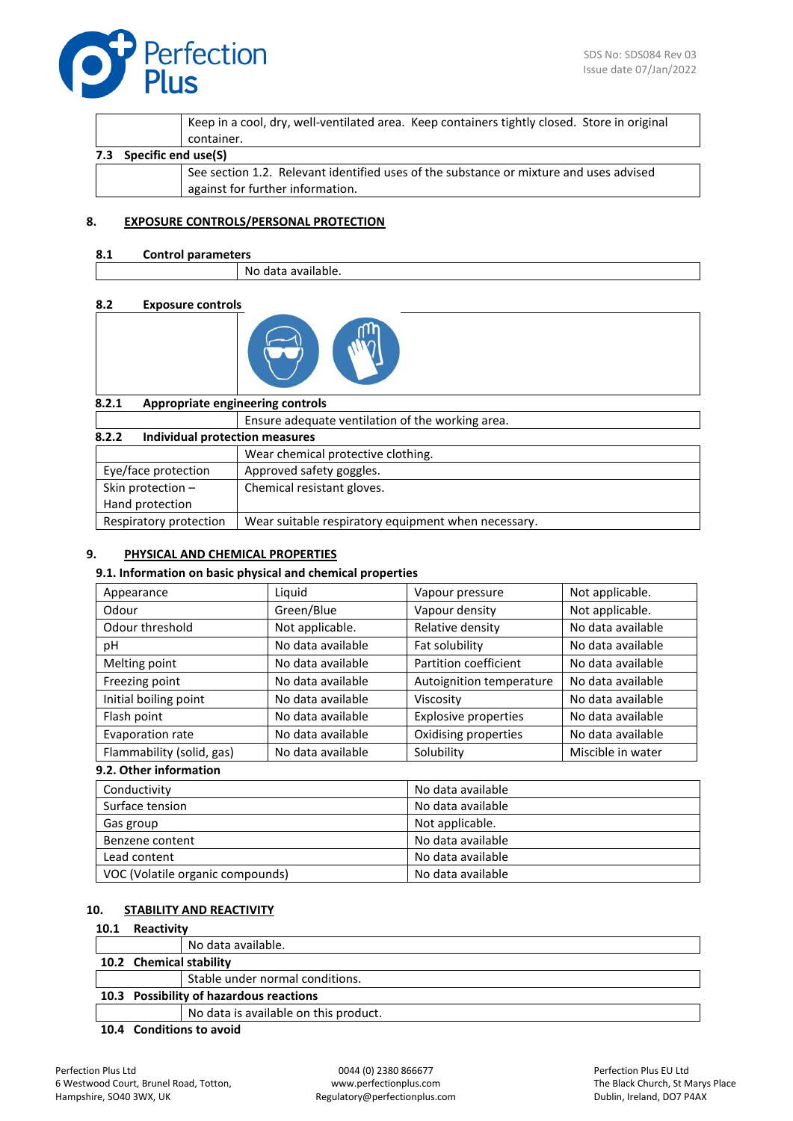

|                            | Keep in a cool, dry, well-ventilated area. Keep containers tightly closed. Store in original<br>container. |
|----------------------------|------------------------------------------------------------------------------------------------------------|
| Specific end use(S)<br>7.3 |                                                                                                            |
|                            | See section 1.2. Relevant identified uses of the substance or mixture and uses advised                     |
|                            | against for further information.                                                                           |

#### **8. EXPOSURE CONTROLS/PERSONAL PROTECTION**

#### **8.1 Control parameters**

No data available.

#### **8.2 Exposure controls**



| 8.2.1                                   | Appropriate engineering controls                    |
|-----------------------------------------|-----------------------------------------------------|
|                                         | Ensure adequate ventilation of the working area.    |
| 8.2.2<br>Individual protection measures |                                                     |
|                                         | Wear chemical protective clothing.                  |
| Eye/face protection                     | Approved safety goggles.                            |
| Skin protection $-$                     | Chemical resistant gloves.                          |
| Hand protection                         |                                                     |
| Respiratory protection                  | Wear suitable respiratory equipment when necessary. |

### **9. PHYSICAL AND CHEMICAL PROPERTIES**

#### **9.1. Information on basic physical and chemical properties**

| Liquid            | Vapour pressure             | Not applicable.   |
|-------------------|-----------------------------|-------------------|
| Green/Blue        | Vapour density              | Not applicable.   |
| Not applicable.   | Relative density            | No data available |
| No data available | Fat solubility              | No data available |
| No data available | Partition coefficient       | No data available |
| No data available | Autoignition temperature    | No data available |
| No data available | Viscosity                   | No data available |
| No data available | <b>Explosive properties</b> | No data available |
| No data available | Oxidising properties        | No data available |
| No data available | Solubility                  | Miscible in water |
|                   |                             |                   |

### **9.2. Other information**

| Conductivity                     | No data available |
|----------------------------------|-------------------|
| Surface tension                  | No data available |
| Gas group                        | Not applicable.   |
| Benzene content                  | No data available |
| Lead content                     | No data available |
| VOC (Volatile organic compounds) | No data available |

### **10. STABILITY AND REACTIVITY**

### **10.1 Reactivity**

|                                         |                         | No data available.                    |
|-----------------------------------------|-------------------------|---------------------------------------|
|                                         | 10.2 Chemical stability |                                       |
|                                         |                         | Stable under normal conditions.       |
| 10.3 Possibility of hazardous reactions |                         |                                       |
|                                         |                         | No data is available on this product. |
|                                         |                         |                                       |

**10.4 Conditions to avoid**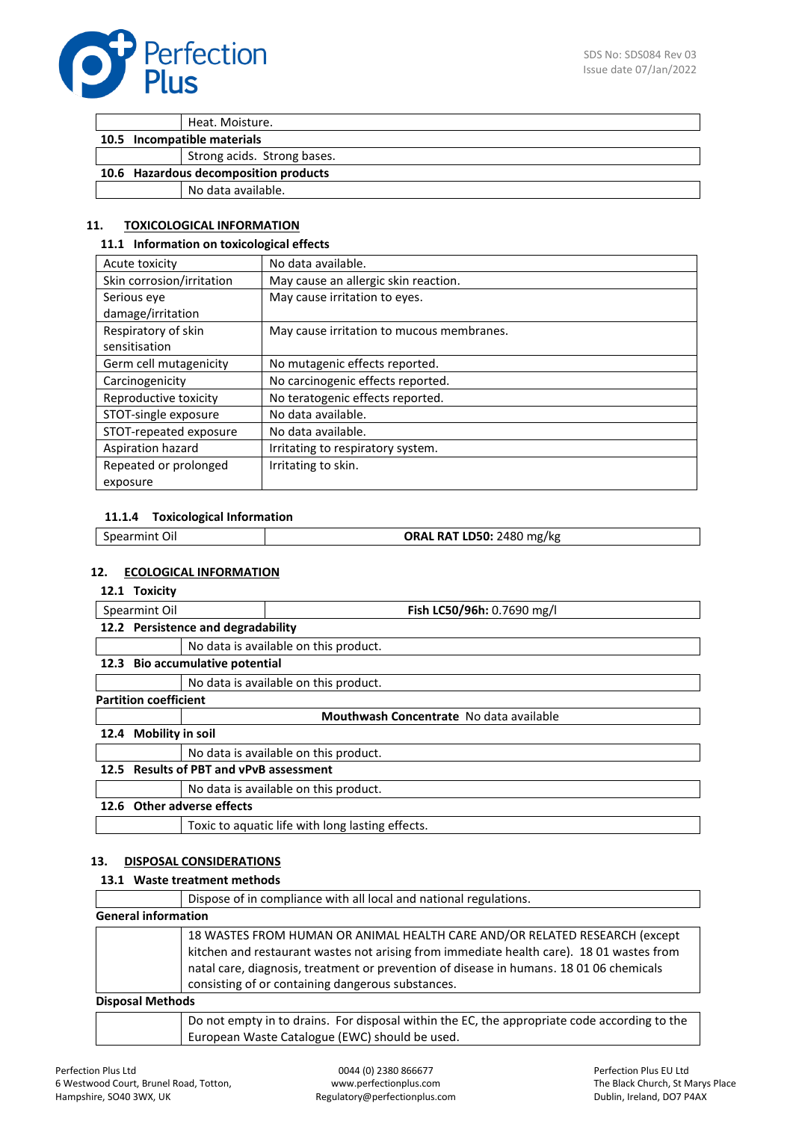

Heat. Moisture. **10.5 Incompatible materials** Strong acids. Strong bases. **10.6 Hazardous decomposition products** No data available.

### **11. TOXICOLOGICAL INFORMATION**

#### **11.1 Information on toxicological effects**

| Acute toxicity            | No data available.                        |
|---------------------------|-------------------------------------------|
| Skin corrosion/irritation | May cause an allergic skin reaction.      |
| Serious eye               | May cause irritation to eyes.             |
| damage/irritation         |                                           |
| Respiratory of skin       | May cause irritation to mucous membranes. |
| sensitisation             |                                           |
| Germ cell mutagenicity    | No mutagenic effects reported.            |
| Carcinogenicity           | No carcinogenic effects reported.         |
| Reproductive toxicity     | No teratogenic effects reported.          |
| STOT-single exposure      | No data available.                        |
| STOT-repeated exposure    | No data available.                        |
| Aspiration hazard         | Irritating to respiratory system.         |
| Repeated or prolonged     | Irritating to skin.                       |
| exposure                  |                                           |

#### **11.1.4 Toxicological Information**

#### **12. ECOLOGICAL INFORMATION**

#### **12.1 Toxicity**

| Spearmint Oil |                                         |                                         | Fish LC50/96h: 0.7690 mg/l                       |
|---------------|-----------------------------------------|-----------------------------------------|--------------------------------------------------|
|               | 12.2 Persistence and degradability      |                                         |                                                  |
|               |                                         |                                         | No data is available on this product.            |
|               | 12.3 Bio accumulative potential         |                                         |                                                  |
|               |                                         |                                         | No data is available on this product.            |
|               | <b>Partition coefficient</b>            |                                         |                                                  |
|               |                                         | Mouthwash Concentrate No data available |                                                  |
| 12.4          | <b>Mobility in soil</b>                 |                                         |                                                  |
|               |                                         |                                         | No data is available on this product.            |
|               | 12.5 Results of PBT and vPvB assessment |                                         |                                                  |
|               |                                         |                                         | No data is available on this product.            |
| 12.6          | <b>Other adverse effects</b>            |                                         |                                                  |
|               |                                         |                                         | Toxic to aquatic life with long lasting effects. |
|               |                                         |                                         |                                                  |

#### **13. DISPOSAL CONSIDERATIONS**

### **13.1 Waste treatment methods**

|                            | Dispose of in compliance with all local and national regulations.                                                                                                                                                                                                                                                      |  |
|----------------------------|------------------------------------------------------------------------------------------------------------------------------------------------------------------------------------------------------------------------------------------------------------------------------------------------------------------------|--|
| <b>General information</b> |                                                                                                                                                                                                                                                                                                                        |  |
|                            | 18 WASTES FROM HUMAN OR ANIMAL HEALTH CARE AND/OR RELATED RESEARCH (except<br>kitchen and restaurant wastes not arising from immediate health care). 18 01 wastes from<br>natal care, diagnosis, treatment or prevention of disease in humans. 18 01 06 chemicals<br>consisting of or containing dangerous substances. |  |
| <b>Disposal Methods</b>    |                                                                                                                                                                                                                                                                                                                        |  |
|                            | Do not empty in to drains. For disposal within the EC, the appropriate code according to the<br>European Waste Catalogue (EWC) should be used.                                                                                                                                                                         |  |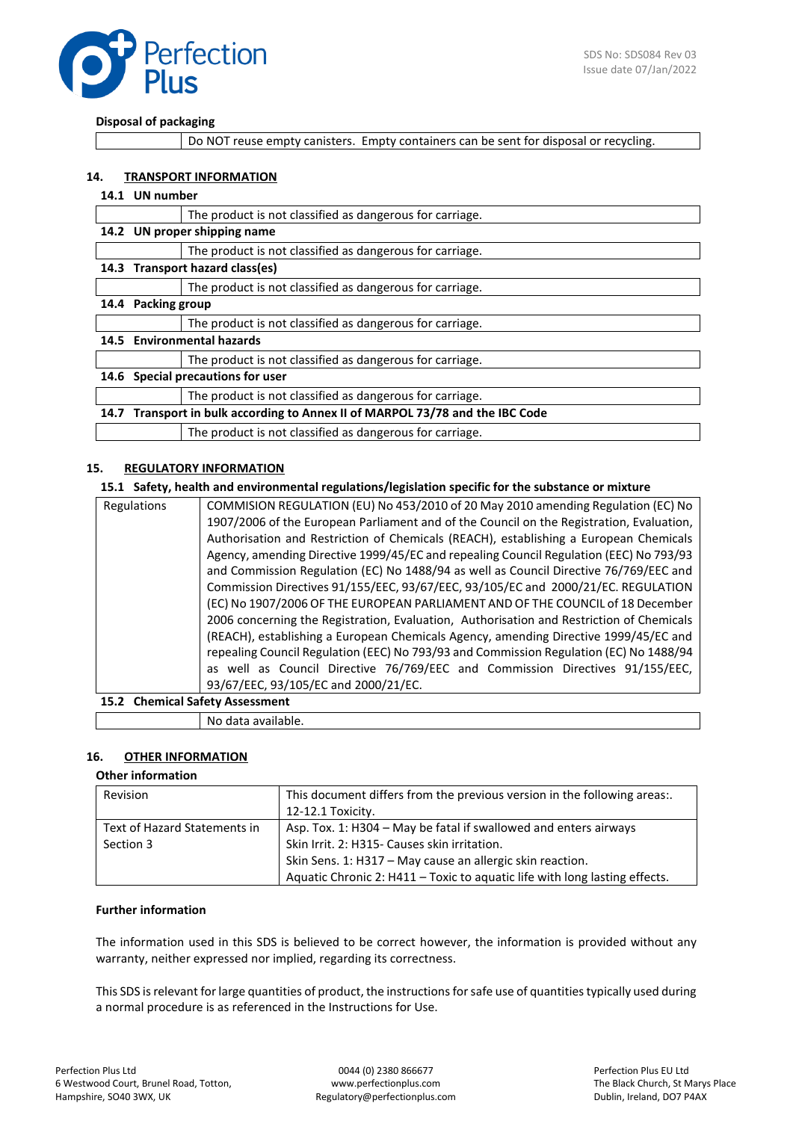

#### **Disposal of packaging**

Do NOT reuse empty canisters. Empty containers can be sent for disposal or recycling.

#### **14. TRANSPORT INFORMATION**

#### **14.1 UN number**

|      | The product is not classified as dangerous for carriage.                 |  |  |
|------|--------------------------------------------------------------------------|--|--|
|      | 14.2 UN proper shipping name                                             |  |  |
|      | The product is not classified as dangerous for carriage.                 |  |  |
|      | 14.3 Transport hazard class(es)                                          |  |  |
|      | The product is not classified as dangerous for carriage.                 |  |  |
| 14.4 | <b>Packing group</b>                                                     |  |  |
|      | The product is not classified as dangerous for carriage.                 |  |  |
|      | 14.5 Environmental hazards                                               |  |  |
|      | The product is not classified as dangerous for carriage.                 |  |  |
|      | Special precautions for user<br>14.6                                     |  |  |
|      | The product is not classified as dangerous for carriage.                 |  |  |
| 14.7 | Transport in bulk according to Annex II of MARPOL 73/78 and the IBC Code |  |  |
|      | The product is not classified as dangerous for carriage.                 |  |  |

#### **15. REGULATORY INFORMATION**

#### **15.1 Safety, health and environmental regulations/legislation specific for the substance or mixture**

| Regulations                     | COMMISION REGULATION (EU) No 453/2010 of 20 May 2010 amending Regulation (EC) No         |  |
|---------------------------------|------------------------------------------------------------------------------------------|--|
|                                 | 1907/2006 of the European Parliament and of the Council on the Registration, Evaluation, |  |
|                                 | Authorisation and Restriction of Chemicals (REACH), establishing a European Chemicals    |  |
|                                 | Agency, amending Directive 1999/45/EC and repealing Council Regulation (EEC) No 793/93   |  |
|                                 | and Commission Regulation (EC) No 1488/94 as well as Council Directive 76/769/EEC and    |  |
|                                 | Commission Directives 91/155/EEC, 93/67/EEC, 93/105/EC and 2000/21/EC. REGULATION        |  |
|                                 | (EC) No 1907/2006 OF THE EUROPEAN PARLIAMENT AND OF THE COUNCIL of 18 December           |  |
|                                 | 2006 concerning the Registration, Evaluation, Authorisation and Restriction of Chemicals |  |
|                                 | (REACH), establishing a European Chemicals Agency, amending Directive 1999/45/EC and     |  |
|                                 | repealing Council Regulation (EEC) No 793/93 and Commission Regulation (EC) No 1488/94   |  |
|                                 | as well as Council Directive 76/769/EEC and Commission Directives 91/155/EEC,            |  |
|                                 | 93/67/EEC, 93/105/EC and 2000/21/EC.                                                     |  |
| 15.2 Chemical Safety Assessment |                                                                                          |  |

No data available.

#### **16. OTHER INFORMATION**

#### **Other information**

| Revision                                  | This document differs from the previous version in the following areas<br>12-12.1 Toxicity.                                                                                                                                                                 |
|-------------------------------------------|-------------------------------------------------------------------------------------------------------------------------------------------------------------------------------------------------------------------------------------------------------------|
| Text of Hazard Statements in<br>Section 3 | Asp. Tox. 1: H304 – May be fatal if swallowed and enters airways<br>Skin Irrit. 2: H315- Causes skin irritation.<br>Skin Sens. 1: H317 - May cause an allergic skin reaction.<br>Aquatic Chronic 2: H411 - Toxic to aquatic life with long lasting effects. |

#### **Further information**

The information used in this SDS is believed to be correct however, the information is provided without any warranty, neither expressed nor implied, regarding its correctness.

This SDS is relevant for large quantities of product, the instructions for safe use of quantities typically used during a normal procedure is as referenced in the Instructions for Use.